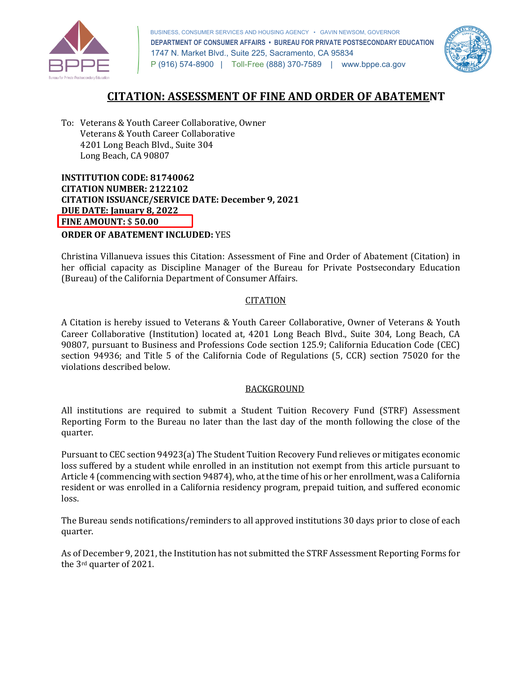

 BUSINESS, CONSUMER SERVICES AND HOUSING AGENCY • GAVIN NEWSOM, GOVERNOR  **DEPARTMENT OF CONSUMER AFFAIRS • BUREAU FOR PRIVATE POSTSECONDARY EDUCATION**  1747 N. Market Blvd., Suite 225, Sacramento, CA 95834 P (916) 574-8900 | Toll-Free (888) 370-7589 | <www.bppe.ca.gov>



## **CITATION: ASSESSMENT OF FINE AND ORDER OF ABATEMENT**

 To: Veterans & Youth Career Collaborative, Owner Veterans & Youth Career Collaborative 4201 Long Beach Blvd., Suite 304 Long Beach, CA 90807

 **INSTITUTION CODE: 81740062 CITATION ISSUANCE/SERVICE DATE: December 9, 2021 CITATION NUMBER: 2122102 DUE DATE: January 8, 2022 FINE AMOUNT:** \$ **50.00** 

**ORDER OF ABATEMENT INCLUDED:** YES

 Christina Villanueva issues this Citation: Assessment of Fine and Order of Abatement (Citation) in her official capacity as Discipline Manager of the Bureau for Private Postsecondary Education (Bureau) of the California Department of Consumer Affairs.

#### CITATION

 A Citation is hereby issued to Veterans & Youth Career Collaborative, Owner of Veterans & Youth 90807, pursuant to Business and Professions Code section 125.9; California Education Code (CEC) section 94936; and Title 5 of the California Code of Regulations (5, CCR) section 75020 for the violations described below. Career Collaborative (Institution) located at, 4201 Long Beach Blvd., Suite 304, Long Beach, CA

### BACKGROUND

 All institutions are required to submit a Student Tuition Recovery Fund (STRF) Assessment Reporting Form to the Bureau no later than the last day of the month following the close of the quarter.

 loss suffered by a student while enrolled in an institution not exempt from this article pursuant to Article 4 (commencing with section 94874), who, at the time of his or her enrollment, was a California Pursuant to CEC section 94923(a) The Student Tuition Recovery Fund relieves or mitigates economic resident or was enrolled in a California residency program, prepaid tuition, and suffered economic loss.

 The Bureau sends notifications/reminders to all approved institutions 30 days prior to close of each quarter.

 the 3rd quarter of 2021. As of December 9, 2021, the Institution has not submitted the STRF Assessment Reporting Forms for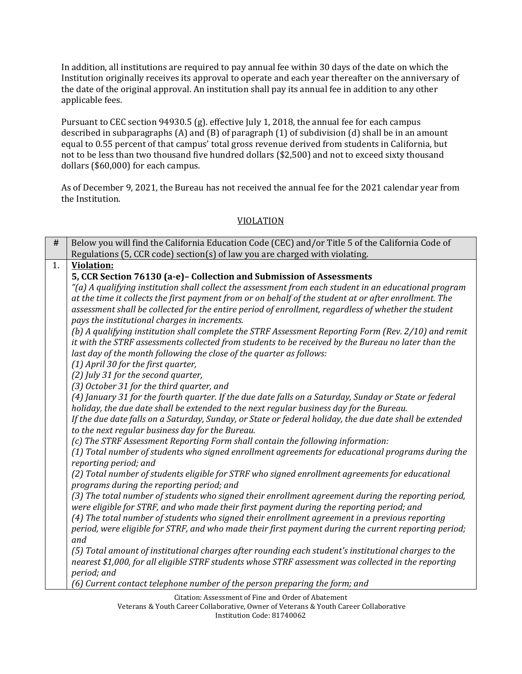In addition, all institutions are required to pay annual fee within 30 days of the date on which the Institution originally receives its approval to operate and each year thereafter on the anniversary of the date of the original approval. An institution shall pay its annual fee in addition to any other applicable fees.

 Pursuant to CEC section 94930.5 (g). effective July 1, 2018, the annual fee for each campus described in subparagraphs (A) and (B) of paragraph (1) of subdivision (d) shall be in an amount equal to 0.55 percent of that campus' total gross revenue derived from students in California, but not to be less than two thousand five hundred dollars (\$2,500) and not to exceed sixty thousand dollars (\$60,000) for each campus.

 As of December 9, 2021, the Bureau has not received the annual fee for the 2021 calendar year from the Institution. the Institution.<br>
VIOLATION

| $\#$ | Below you will find the California Education Code (CEC) and/or Title 5 of the California Code of                                                                                                                                                                                                                                                                                                                                                                                                                                                                                                                                                                                                                                |
|------|---------------------------------------------------------------------------------------------------------------------------------------------------------------------------------------------------------------------------------------------------------------------------------------------------------------------------------------------------------------------------------------------------------------------------------------------------------------------------------------------------------------------------------------------------------------------------------------------------------------------------------------------------------------------------------------------------------------------------------|
|      | Regulations (5, CCR code) section(s) of law you are charged with violating.                                                                                                                                                                                                                                                                                                                                                                                                                                                                                                                                                                                                                                                     |
| 1.   | <b>Violation:</b>                                                                                                                                                                                                                                                                                                                                                                                                                                                                                                                                                                                                                                                                                                               |
|      | 5, CCR Section 76130 (a-e)- Collection and Submission of Assessments                                                                                                                                                                                                                                                                                                                                                                                                                                                                                                                                                                                                                                                            |
|      | "(a) A qualifying institution shall collect the assessment from each student in an educational program                                                                                                                                                                                                                                                                                                                                                                                                                                                                                                                                                                                                                          |
|      | at the time it collects the first payment from or on behalf of the student at or after enrollment. The                                                                                                                                                                                                                                                                                                                                                                                                                                                                                                                                                                                                                          |
|      | assessment shall be collected for the entire period of enrollment, regardless of whether the student                                                                                                                                                                                                                                                                                                                                                                                                                                                                                                                                                                                                                            |
|      | pays the institutional charges in increments.                                                                                                                                                                                                                                                                                                                                                                                                                                                                                                                                                                                                                                                                                   |
|      | (b) A qualifying institution shall complete the STRF Assessment Reporting Form (Rev. 2/10) and remit                                                                                                                                                                                                                                                                                                                                                                                                                                                                                                                                                                                                                            |
|      | it with the STRF assessments collected from students to be received by the Bureau no later than the                                                                                                                                                                                                                                                                                                                                                                                                                                                                                                                                                                                                                             |
|      | last day of the month following the close of the quarter as follows:                                                                                                                                                                                                                                                                                                                                                                                                                                                                                                                                                                                                                                                            |
|      | (1) April 30 for the first quarter,                                                                                                                                                                                                                                                                                                                                                                                                                                                                                                                                                                                                                                                                                             |
|      | (2) July 31 for the second quarter,                                                                                                                                                                                                                                                                                                                                                                                                                                                                                                                                                                                                                                                                                             |
|      | (3) October 31 for the third quarter, and                                                                                                                                                                                                                                                                                                                                                                                                                                                                                                                                                                                                                                                                                       |
|      | (4) January 31 for the fourth quarter. If the due date falls on a Saturday, Sunday or State or federal                                                                                                                                                                                                                                                                                                                                                                                                                                                                                                                                                                                                                          |
|      | holiday, the due date shall be extended to the next regular business day for the Bureau.                                                                                                                                                                                                                                                                                                                                                                                                                                                                                                                                                                                                                                        |
|      | If the due date falls on a Saturday, Sunday, or State or federal holiday, the due date shall be extended                                                                                                                                                                                                                                                                                                                                                                                                                                                                                                                                                                                                                        |
|      | to the next regular business day for the Bureau.                                                                                                                                                                                                                                                                                                                                                                                                                                                                                                                                                                                                                                                                                |
|      | (c) The STRF Assessment Reporting Form shall contain the following information:                                                                                                                                                                                                                                                                                                                                                                                                                                                                                                                                                                                                                                                 |
|      | (1) Total number of students who signed enrollment agreements for educational programs during the<br>reporting period; and                                                                                                                                                                                                                                                                                                                                                                                                                                                                                                                                                                                                      |
|      | (2) Total number of students eligible for STRF who signed enrollment agreements for educational                                                                                                                                                                                                                                                                                                                                                                                                                                                                                                                                                                                                                                 |
|      | programs during the reporting period; and                                                                                                                                                                                                                                                                                                                                                                                                                                                                                                                                                                                                                                                                                       |
|      |                                                                                                                                                                                                                                                                                                                                                                                                                                                                                                                                                                                                                                                                                                                                 |
|      |                                                                                                                                                                                                                                                                                                                                                                                                                                                                                                                                                                                                                                                                                                                                 |
|      |                                                                                                                                                                                                                                                                                                                                                                                                                                                                                                                                                                                                                                                                                                                                 |
|      |                                                                                                                                                                                                                                                                                                                                                                                                                                                                                                                                                                                                                                                                                                                                 |
|      |                                                                                                                                                                                                                                                                                                                                                                                                                                                                                                                                                                                                                                                                                                                                 |
|      |                                                                                                                                                                                                                                                                                                                                                                                                                                                                                                                                                                                                                                                                                                                                 |
|      |                                                                                                                                                                                                                                                                                                                                                                                                                                                                                                                                                                                                                                                                                                                                 |
|      |                                                                                                                                                                                                                                                                                                                                                                                                                                                                                                                                                                                                                                                                                                                                 |
|      |                                                                                                                                                                                                                                                                                                                                                                                                                                                                                                                                                                                                                                                                                                                                 |
|      | (3) The total number of students who signed their enrollment agreement during the reporting period,<br>were eligible for STRF, and who made their first payment during the reporting period; and<br>(4) The total number of students who signed their enrollment agreement in a previous reporting<br>period, were eligible for STRF, and who made their first payment during the current reporting period;<br>and<br>(5) Total amount of institutional charges after rounding each student's institutional charges to the<br>nearest \$1,000, for all eligible STRF students whose STRF assessment was collected in the reporting<br>period; and<br>(6) Current contact telephone number of the person preparing the form; and |

Citation: Assessment of Fine and Order of Abatement Veterans & Youth Career Collaborative, Owner of Veterans & Youth Career Collaborative Institution Code: 81740062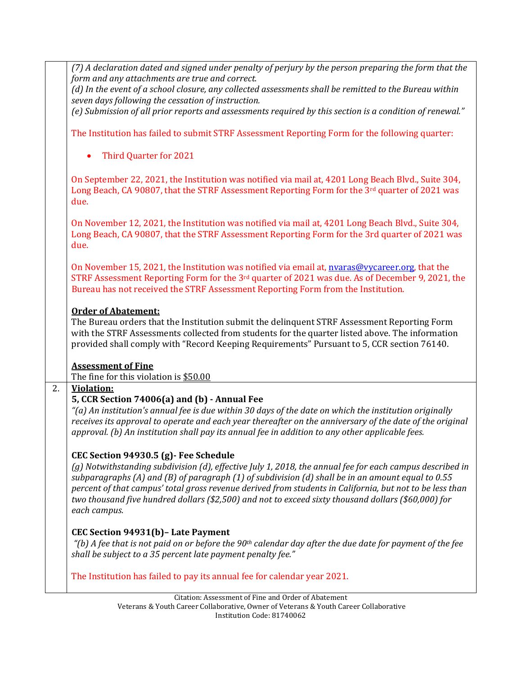|    | (7) A declaration dated and signed under penalty of perjury by the person preparing the form that the                                                                                                                                                                                                                                                                                                                                            |
|----|--------------------------------------------------------------------------------------------------------------------------------------------------------------------------------------------------------------------------------------------------------------------------------------------------------------------------------------------------------------------------------------------------------------------------------------------------|
|    | form and any attachments are true and correct.<br>(d) In the event of a school closure, any collected assessments shall be remitted to the Bureau within                                                                                                                                                                                                                                                                                         |
|    | seven days following the cessation of instruction.                                                                                                                                                                                                                                                                                                                                                                                               |
|    | (e) Submission of all prior reports and assessments required by this section is a condition of renewal."                                                                                                                                                                                                                                                                                                                                         |
|    | The Institution has failed to submit STRF Assessment Reporting Form for the following quarter:                                                                                                                                                                                                                                                                                                                                                   |
|    | Third Quarter for 2021                                                                                                                                                                                                                                                                                                                                                                                                                           |
|    | On September 22, 2021, the Institution was notified via mail at, 4201 Long Beach Blvd., Suite 304,<br>Long Beach, CA 90807, that the STRF Assessment Reporting Form for the 3rd quarter of 2021 was<br>due.                                                                                                                                                                                                                                      |
|    | On November 12, 2021, the Institution was notified via mail at, 4201 Long Beach Blvd., Suite 304,<br>Long Beach, CA 90807, that the STRF Assessment Reporting Form for the 3rd quarter of 2021 was<br>due.                                                                                                                                                                                                                                       |
|    | On November 15, 2021, the Institution was notified via email at, nvaras@vycareer.org, that the<br>STRF Assessment Reporting Form for the 3rd quarter of 2021 was due. As of December 9, 2021, the<br>Bureau has not received the STRF Assessment Reporting Form from the Institution.                                                                                                                                                            |
|    |                                                                                                                                                                                                                                                                                                                                                                                                                                                  |
|    | <b>Order of Abatement:</b>                                                                                                                                                                                                                                                                                                                                                                                                                       |
|    | The Bureau orders that the Institution submit the delinquent STRF Assessment Reporting Form<br>with the STRF Assessments collected from students for the quarter listed above. The information<br>provided shall comply with "Record Keeping Requirements" Pursuant to 5, CCR section 76140.                                                                                                                                                     |
|    | <b>Assessment of Fine</b>                                                                                                                                                                                                                                                                                                                                                                                                                        |
|    | The fine for this violation is \$50.00                                                                                                                                                                                                                                                                                                                                                                                                           |
| 2. | <b>Violation:</b>                                                                                                                                                                                                                                                                                                                                                                                                                                |
|    | 5, CCR Section 74006(a) and (b) - Annual Fee                                                                                                                                                                                                                                                                                                                                                                                                     |
|    | "(a) An institution's annual fee is due within 30 days of the date on which the institution originally<br>receives its approval to operate and each year thereafter on the anniversary of the date of the original<br>approval. (b) An institution shall pay its annual fee in addition to any other applicable fees.                                                                                                                            |
|    | CEC Section 94930.5 (g) - Fee Schedule                                                                                                                                                                                                                                                                                                                                                                                                           |
|    | (g) Notwithstanding subdivision (d), effective July 1, 2018, the annual fee for each campus described in<br>subparagraphs (A) and (B) of paragraph (1) of subdivision (d) shall be in an amount equal to 0.55<br>percent of that campus' total gross revenue derived from students in California, but not to be less than<br>two thousand five hundred dollars (\$2,500) and not to exceed sixty thousand dollars (\$60,000) for<br>each campus. |
|    | CEC Section 94931(b) - Late Payment<br>"(b) A fee that is not paid on or before the 90 <sup>th</sup> calendar day after the due date for payment of the fee<br>shall be subject to a 35 percent late payment penalty fee."                                                                                                                                                                                                                       |
|    | The Institution has failed to pay its annual fee for calendar year 2021.                                                                                                                                                                                                                                                                                                                                                                         |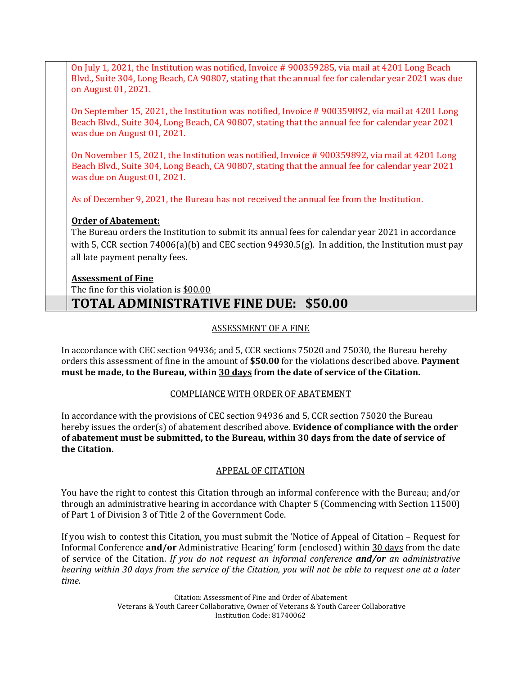On July 1, 2021, the Institution was notified, Invoice # 900359285, via mail at 4201 Long Beach Blvd., Suite 304, Long Beach, CA 90807, stating that the annual fee for calendar year 2021 was due on August 01, 2021.

 On September 15, 2021, the Institution was notified, Invoice # 900359892, via mail at 4201 Long Beach Blvd., Suite 304, Long Beach, CA 90807, stating that the annual fee for calendar year 2021 was due on August 01, 2021.

 On November 15, 2021, the Institution was notified, Invoice # 900359892, via mail at 4201 Long Beach Blvd., Suite 304, Long Beach, CA 90807, stating that the annual fee for calendar year 2021 was due on August 01, 2021.

As of December 9, 2021, the Bureau has not received the annual fee from the Institution.

## **Order of Abatement:**

 The Bureau orders the Institution to submit its annual fees for calendar year 2021 in accordance with 5, CCR section 74006(a)(b) and CEC section 94930.5(g). In addition, the Institution must pay all late payment penalty fees.

## **Assessment of Fine**

The fine for this violation is <u>\$00.00</u>

# **TOTAL ADMINISTRATIVE FINE DUE: \$50.00**

## ASSESSMENT OF A FINE

 In accordance with CEC section 94936; and 5, CCR sections 75020 and 75030, the Bureau hereby orders this assessment of fine in the amount of **\$50.00** for the violations described above. **Payment must be made, to the Bureau, within 30 days from the date of service of the Citation.** 

# COMPLIANCE WITH ORDER OF ABATEMENT

 In accordance with the provisions of CEC section 94936 and 5, CCR section 75020 the Bureau hereby issues the order(s) of abatement described above. **Evidence of compliance with the order of abatement must be submitted, to the Bureau, within 30 days from the date of service of the Citation.** 

## APPEAL OF CITATION

 You have the right to contest this Citation through an informal conference with the Bureau; and/or through an administrative hearing in accordance with Chapter 5 (Commencing with Section 11500) of Part 1 of Division 3 of Title 2 of the Government Code.

 If you wish to contest this Citation, you must submit the 'Notice of Appeal of Citation – Request for  *hearing within 30 days from the service of the Citation, you will not be able to request one at a later*  Informal Conference **and/or** Administrative Hearing' form (enclosed) within 30 days from the date of service of the Citation. *If you do not request an informal conference and/or an administrative time.* 

> Citation: Assessment of Fine and Order of Abatement Veterans & Youth Career Collaborative, Owner of Veterans & Youth Career Collaborative Institution Code: 81740062